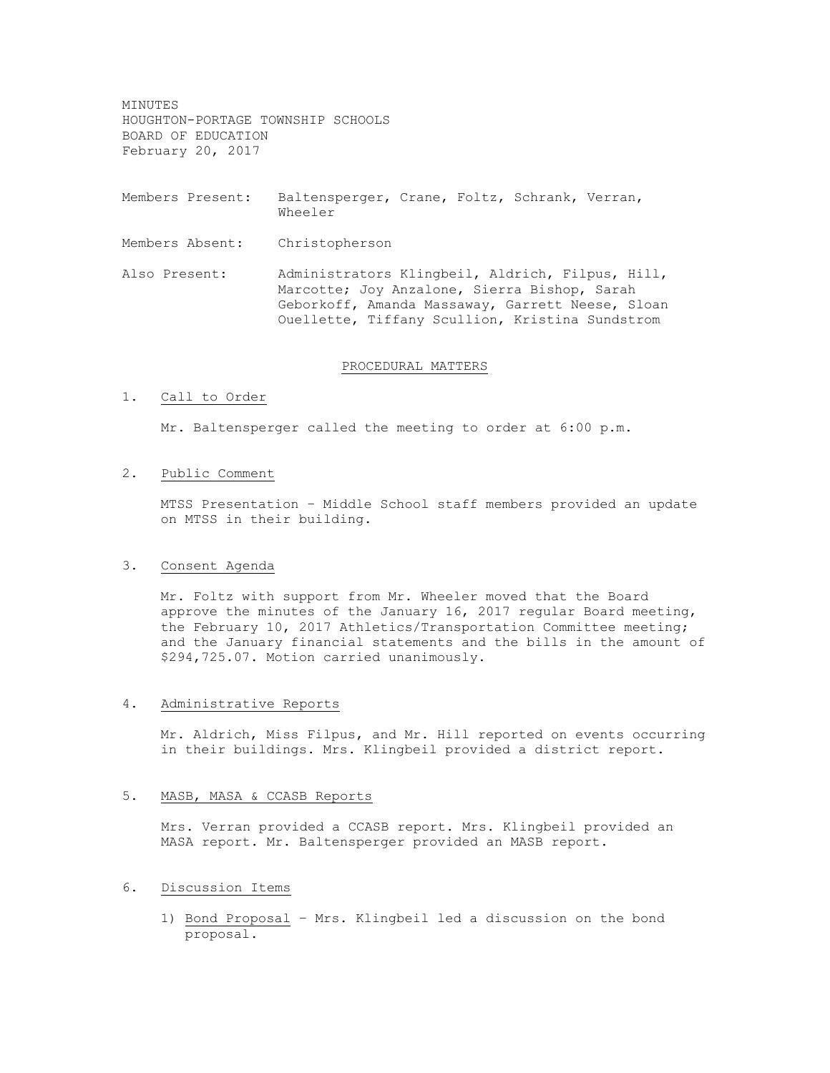MINUTES HOUGHTON-PORTAGE TOWNSHIP SCHOOLS BOARD OF EDUCATION February 20, 2017

- Members Present: Baltensperger, Crane, Foltz, Schrank, Verran, Wheeler
- Members Absent: Christopherson
- Also Present: Administrators Klingbeil, Aldrich, Filpus, Hill, Marcotte; Joy Anzalone, Sierra Bishop, Sarah Geborkoff, Amanda Massaway, Garrett Neese, Sloan Ouellette, Tiffany Scullion, Kristina Sundstrom

## PROCEDURAL MATTERS

### 1. Call to Order

Mr. Baltensperger called the meeting to order at 6:00 p.m.

## 2. Public Comment

MTSS Presentation – Middle School staff members provided an update on MTSS in their building.

## 3. Consent Agenda

Mr. Foltz with support from Mr. Wheeler moved that the Board approve the minutes of the January 16, 2017 regular Board meeting, the February 10, 2017 Athletics/Transportation Committee meeting; and the January financial statements and the bills in the amount of \$294,725.07. Motion carried unanimously.

#### 4. Administrative Reports

Mr. Aldrich, Miss Filpus, and Mr. Hill reported on events occurring in their buildings. Mrs. Klingbeil provided a district report.

## 5. MASB, MASA & CCASB Reports

Mrs. Verran provided a CCASB report. Mrs. Klingbeil provided an MASA report. Mr. Baltensperger provided an MASB report.

## 6. Discussion Items

1) Bond Proposal – Mrs. Klingbeil led a discussion on the bond proposal.